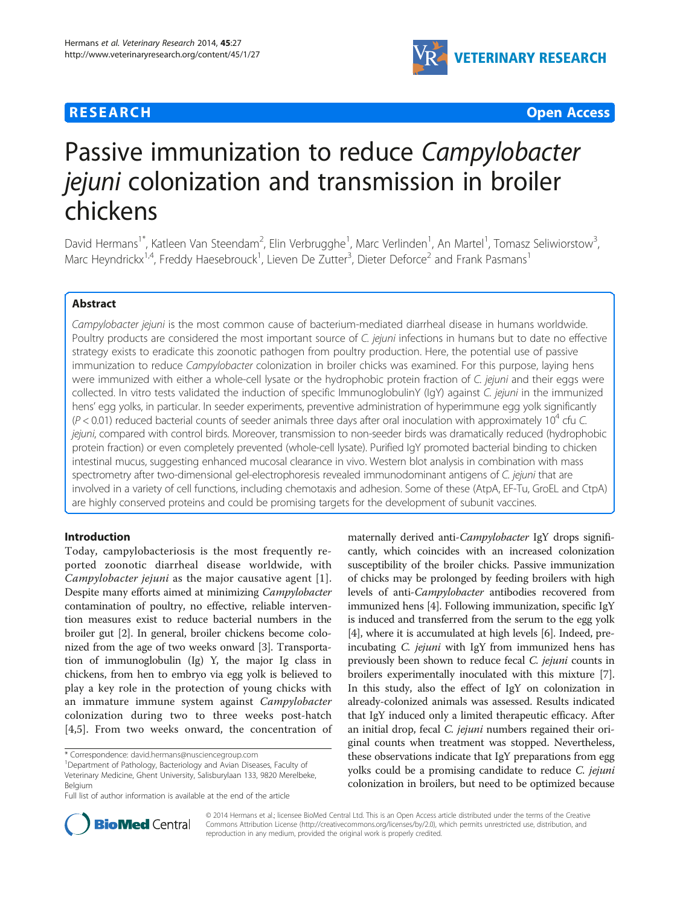# **RESEARCH CHE Open Access**



# Passive immunization to reduce Campylobacter jejuni colonization and transmission in broiler chickens

David Hermans<sup>1\*</sup>, Katleen Van Steendam<sup>2</sup>, Elin Verbrugghe<sup>1</sup>, Marc Verlinden<sup>1</sup>, An Martel<sup>1</sup>, Tomasz Seliwiorstow<sup>3</sup> , Marc Heyndrickx<sup>1,4</sup>, Freddy Haesebrouck<sup>1</sup>, Lieven De Zutter<sup>3</sup>, Dieter Deforce<sup>2</sup> and Frank Pasmans<sup>1</sup>

# Abstract

Campylobacter jejuni is the most common cause of bacterium-mediated diarrheal disease in humans worldwide. Poultry products are considered the most important source of C. jejuni infections in humans but to date no effective strategy exists to eradicate this zoonotic pathogen from poultry production. Here, the potential use of passive immunization to reduce Campylobacter colonization in broiler chicks was examined. For this purpose, laying hens were immunized with either a whole-cell lysate or the hydrophobic protein fraction of C. jejuni and their eggs were collected. In vitro tests validated the induction of specific ImmunoglobulinY (IgY) against C. jejuni in the immunized hens' egg yolks, in particular. In seeder experiments, preventive administration of hyperimmune egg yolk significantly  $(P < 0.01)$  reduced bacterial counts of seeder animals three days after oral inoculation with approximately 10<sup>4</sup> cfu C. jejuni, compared with control birds. Moreover, transmission to non-seeder birds was dramatically reduced (hydrophobic protein fraction) or even completely prevented (whole-cell lysate). Purified IgY promoted bacterial binding to chicken intestinal mucus, suggesting enhanced mucosal clearance in vivo. Western blot analysis in combination with mass spectrometry after two-dimensional gel-electrophoresis revealed immunodominant antigens of C. jejuni that are involved in a variety of cell functions, including chemotaxis and adhesion. Some of these (AtpA, EF-Tu, GroEL and CtpA) are highly conserved proteins and could be promising targets for the development of subunit vaccines.

# Introduction

Today, campylobacteriosis is the most frequently reported zoonotic diarrheal disease worldwide, with Campylobacter jejuni as the major causative agent [[1](#page-10-0)]. Despite many efforts aimed at minimizing Campylobacter contamination of poultry, no effective, reliable intervention measures exist to reduce bacterial numbers in the broiler gut [[2](#page-10-0)]. In general, broiler chickens become colonized from the age of two weeks onward [\[3](#page-10-0)]. Transportation of immunoglobulin (Ig) Y, the major Ig class in chickens, from hen to embryo via egg yolk is believed to play a key role in the protection of young chicks with an immature immune system against Campylobacter colonization during two to three weeks post-hatch [[4,5](#page-10-0)]. From two weeks onward, the concentration of

maternally derived anti-Campylobacter IgY drops significantly, which coincides with an increased colonization susceptibility of the broiler chicks. Passive immunization of chicks may be prolonged by feeding broilers with high levels of anti-Campylobacter antibodies recovered from immunized hens [\[4\]](#page-10-0). Following immunization, specific IgY is induced and transferred from the serum to the egg yolk [[4\]](#page-10-0), where it is accumulated at high levels [[6\]](#page-10-0). Indeed, preincubating C. jejuni with IgY from immunized hens has previously been shown to reduce fecal C. jejuni counts in broilers experimentally inoculated with this mixture [[7](#page-10-0)]. In this study, also the effect of IgY on colonization in already-colonized animals was assessed. Results indicated that IgY induced only a limited therapeutic efficacy. After an initial drop, fecal C. jejuni numbers regained their original counts when treatment was stopped. Nevertheless, these observations indicate that IgY preparations from egg yolks could be a promising candidate to reduce C. jejuni colonization in broilers, but need to be optimized because



© 2014 Hermans et al.; licensee BioMed Central Ltd. This is an Open Access article distributed under the terms of the Creative Commons Attribution License [\(http://creativecommons.org/licenses/by/2.0\)](http://creativecommons.org/licenses/by/2.0), which permits unrestricted use, distribution, and reproduction in any medium, provided the original work is properly credited.

<sup>\*</sup> Correspondence: [david.hermans@nusciencegroup.com](mailto:david.hermans@nusciencegroup.com) <sup>1</sup>

Department of Pathology, Bacteriology and Avian Diseases, Faculty of Veterinary Medicine, Ghent University, Salisburylaan 133, 9820 Merelbeke, Belgium

Full list of author information is available at the end of the article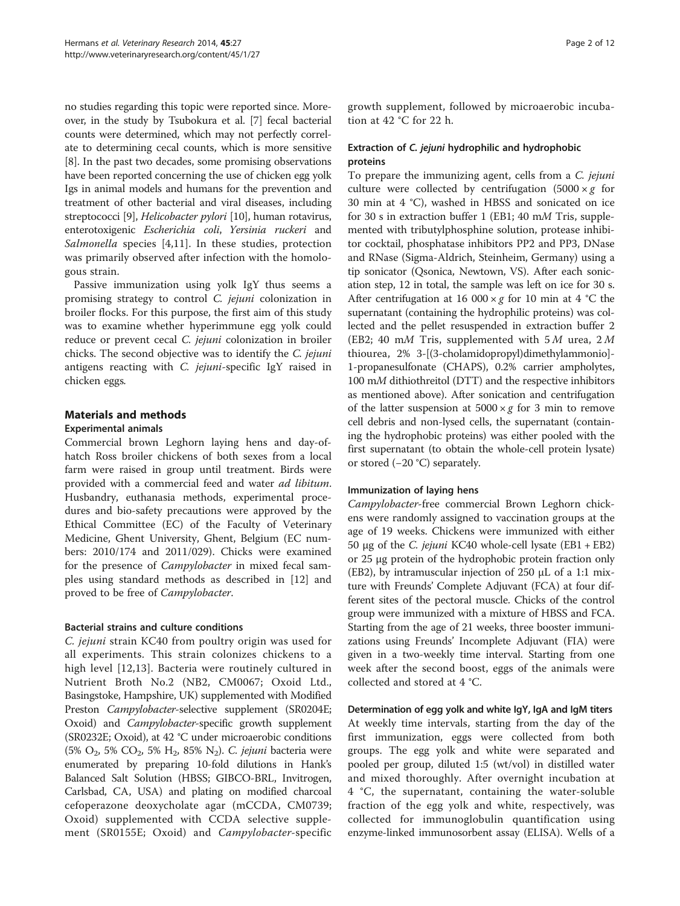no studies regarding this topic were reported since. Moreover, in the study by Tsubokura et al. [\[7\]](#page-10-0) fecal bacterial counts were determined, which may not perfectly correlate to determining cecal counts, which is more sensitive [[8\]](#page-10-0). In the past two decades, some promising observations have been reported concerning the use of chicken egg yolk Igs in animal models and humans for the prevention and treatment of other bacterial and viral diseases, including streptococci [[9\]](#page-10-0), Helicobacter pylori [\[10](#page-10-0)], human rotavirus, enterotoxigenic Escherichia coli, Yersinia ruckeri and Salmonella species [[4,11](#page-10-0)]. In these studies, protection was primarily observed after infection with the homologous strain.

Passive immunization using yolk IgY thus seems a promising strategy to control C. jejuni colonization in broiler flocks. For this purpose, the first aim of this study was to examine whether hyperimmune egg yolk could reduce or prevent cecal C. jejuni colonization in broiler chicks. The second objective was to identify the C. jejuni antigens reacting with C. jejuni-specific IgY raised in chicken eggs.

## Materials and methods Experimental animals

Commercial brown Leghorn laying hens and day-ofhatch Ross broiler chickens of both sexes from a local farm were raised in group until treatment. Birds were provided with a commercial feed and water ad libitum. Husbandry, euthanasia methods, experimental procedures and bio-safety precautions were approved by the Ethical Committee (EC) of the Faculty of Veterinary Medicine, Ghent University, Ghent, Belgium (EC numbers: 2010/174 and 2011/029). Chicks were examined for the presence of Campylobacter in mixed fecal samples using standard methods as described in [[12](#page-10-0)] and proved to be free of Campylobacter.

## Bacterial strains and culture conditions

C. jejuni strain KC40 from poultry origin was used for all experiments. This strain colonizes chickens to a high level [[12](#page-10-0),[13\]](#page-10-0). Bacteria were routinely cultured in Nutrient Broth No.2 (NB2, CM0067; Oxoid Ltd., Basingstoke, Hampshire, UK) supplemented with Modified Preston Campylobacter-selective supplement (SR0204E; Oxoid) and Campylobacter-specific growth supplement (SR0232E; Oxoid), at 42 °C under microaerobic conditions  $(5\% \text{ O}_2, 5\% \text{ CO}_2, 5\% \text{ H}_2, 85\% \text{ N}_2)$ . C. jejuni bacteria were enumerated by preparing 10-fold dilutions in Hank's Balanced Salt Solution (HBSS; GIBCO-BRL, Invitrogen, Carlsbad, CA, USA) and plating on modified charcoal cefoperazone deoxycholate agar (mCCDA, CM0739; Oxoid) supplemented with CCDA selective supplement (SR0155E; Oxoid) and Campylobacter-specific growth supplement, followed by microaerobic incubation at 42 °C for 22 h.

## Extraction of C. jejuni hydrophilic and hydrophobic proteins

To prepare the immunizing agent, cells from a C. jejuni culture were collected by centrifugation  $(5000 \times g$  for 30 min at 4 °C), washed in HBSS and sonicated on ice for 30 s in extraction buffer 1 (EB1; 40 mM Tris, supplemented with tributylphosphine solution, protease inhibitor cocktail, phosphatase inhibitors PP2 and PP3, DNase and RNase (Sigma-Aldrich, Steinheim, Germany) using a tip sonicator (Qsonica, Newtown, VS). After each sonication step, 12 in total, the sample was left on ice for 30 s. After centrifugation at 16 000  $\times$  g for 10 min at 4 °C the supernatant (containing the hydrophilic proteins) was collected and the pellet resuspended in extraction buffer 2 (EB2; 40 mM Tris, supplemented with  $5M$  urea,  $2M$ thiourea, 2% 3-[(3-cholamidopropyl)dimethylammonio]- 1-propanesulfonate (CHAPS), 0.2% carrier ampholytes, 100 mM dithiothreitol (DTT) and the respective inhibitors as mentioned above). After sonication and centrifugation of the latter suspension at  $5000 \times g$  for 3 min to remove cell debris and non-lysed cells, the supernatant (containing the hydrophobic proteins) was either pooled with the first supernatant (to obtain the whole-cell protein lysate) or stored (−20 °C) separately.

# Immunization of laying hens

Campylobacter-free commercial Brown Leghorn chickens were randomly assigned to vaccination groups at the age of 19 weeks. Chickens were immunized with either 50 μg of the C. jejuni KC40 whole-cell lysate (EB1 + EB2) or 25 μg protein of the hydrophobic protein fraction only (EB2), by intramuscular injection of 250 μL of a 1:1 mixture with Freunds' Complete Adjuvant (FCA) at four different sites of the pectoral muscle. Chicks of the control group were immunized with a mixture of HBSS and FCA. Starting from the age of 21 weeks, three booster immunizations using Freunds' Incomplete Adjuvant (FIA) were given in a two-weekly time interval. Starting from one week after the second boost, eggs of the animals were collected and stored at 4 °C.

# Determination of egg yolk and white IgY, IgA and IgM titers

At weekly time intervals, starting from the day of the first immunization, eggs were collected from both groups. The egg yolk and white were separated and pooled per group, diluted 1:5 (wt/vol) in distilled water and mixed thoroughly. After overnight incubation at 4 °C, the supernatant, containing the water-soluble fraction of the egg yolk and white, respectively, was collected for immunoglobulin quantification using enzyme-linked immunosorbent assay (ELISA). Wells of a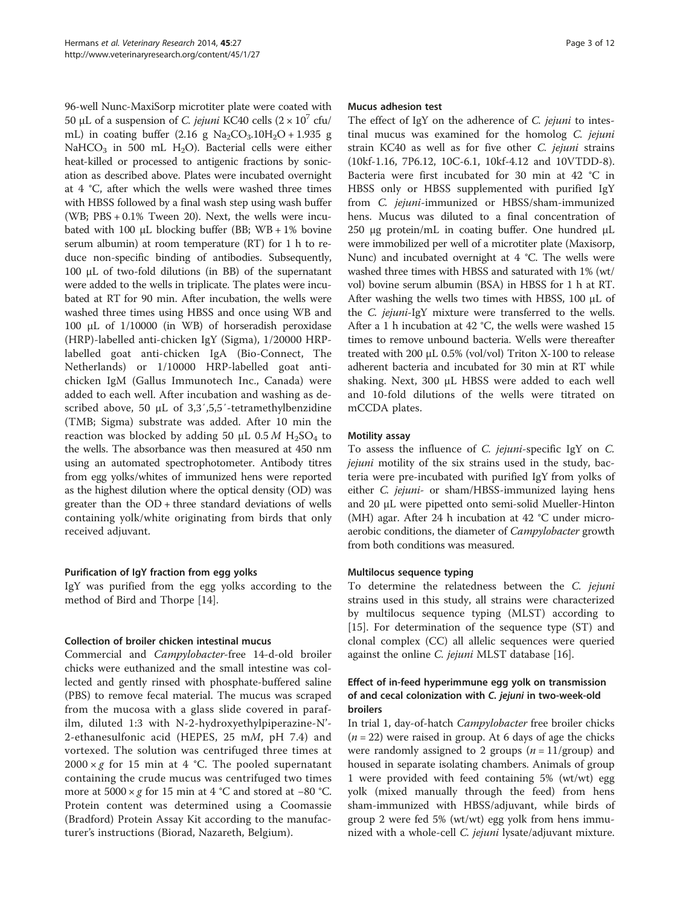96-well Nunc-MaxiSorp microtiter plate were coated with 50 μL of a suspension of *C. jejuni* KC40 cells  $(2 \times 10^7 \text{ cft})$ mL) in coating buffer  $(2.16 \text{ g } Na<sub>2</sub>CO<sub>3</sub>.10H<sub>2</sub>O + 1.935 \text{ g})$ NaHCO<sub>3</sub> in 500 mL H<sub>2</sub>O). Bacterial cells were either heat-killed or processed to antigenic fractions by sonication as described above. Plates were incubated overnight at 4 °C, after which the wells were washed three times with HBSS followed by a final wash step using wash buffer (WB; PBS + 0.1% Tween 20). Next, the wells were incubated with 100  $\mu$ L blocking buffer (BB; WB + 1% bovine serum albumin) at room temperature (RT) for 1 h to reduce non-specific binding of antibodies. Subsequently, 100 μL of two-fold dilutions (in BB) of the supernatant were added to the wells in triplicate. The plates were incubated at RT for 90 min. After incubation, the wells were washed three times using HBSS and once using WB and 100 μL of 1/10000 (in WB) of horseradish peroxidase (HRP)-labelled anti-chicken IgY (Sigma), 1/20000 HRPlabelled goat anti-chicken IgA (Bio-Connect, The Netherlands) or 1/10000 HRP-labelled goat antichicken IgM (Gallus Immunotech Inc., Canada) were added to each well. After incubation and washing as described above, 50 μL of 3,3′,5,5′-tetramethylbenzidine (TMB; Sigma) substrate was added. After 10 min the reaction was blocked by adding 50  $\mu$ L 0.5 M H<sub>2</sub>SO<sub>4</sub> to the wells. The absorbance was then measured at 450 nm using an automated spectrophotometer. Antibody titres from egg yolks/whites of immunized hens were reported as the highest dilution where the optical density (OD) was greater than the OD + three standard deviations of wells containing yolk/white originating from birds that only received adjuvant.

## Purification of IgY fraction from egg yolks

IgY was purified from the egg yolks according to the method of Bird and Thorpe [\[14](#page-10-0)].

#### Collection of broiler chicken intestinal mucus

Commercial and Campylobacter-free 14-d-old broiler chicks were euthanized and the small intestine was collected and gently rinsed with phosphate-buffered saline (PBS) to remove fecal material. The mucus was scraped from the mucosa with a glass slide covered in parafilm, diluted 1:3 with N-2-hydroxyethylpiperazine-N'- 2-ethanesulfonic acid (HEPES, 25 mM, pH 7.4) and vortexed. The solution was centrifuged three times at  $2000 \times g$  for 15 min at 4 °C. The pooled supernatant containing the crude mucus was centrifuged two times more at  $5000 \times g$  for 15 min at 4 °C and stored at −80 °C. Protein content was determined using a Coomassie (Bradford) Protein Assay Kit according to the manufacturer's instructions (Biorad, Nazareth, Belgium).

#### Mucus adhesion test

The effect of IgY on the adherence of *C. jejuni* to intestinal mucus was examined for the homolog C. jejuni strain KC40 as well as for five other C. jejuni strains (10kf-1.16, 7P6.12, 10C-6.1, 10kf-4.12 and 10VTDD-8). Bacteria were first incubated for 30 min at 42 °C in HBSS only or HBSS supplemented with purified IgY from C. jejuni-immunized or HBSS/sham-immunized hens. Mucus was diluted to a final concentration of 250 μg protein/mL in coating buffer. One hundred μL were immobilized per well of a microtiter plate (Maxisorp, Nunc) and incubated overnight at 4 °C. The wells were washed three times with HBSS and saturated with 1% (wt/ vol) bovine serum albumin (BSA) in HBSS for 1 h at RT. After washing the wells two times with HBSS, 100 μL of the C. jejuni-IgY mixture were transferred to the wells. After a 1 h incubation at 42 °C, the wells were washed 15 times to remove unbound bacteria. Wells were thereafter treated with 200 μL 0.5% (vol/vol) Triton X-100 to release adherent bacteria and incubated for 30 min at RT while shaking. Next, 300 μL HBSS were added to each well and 10-fold dilutions of the wells were titrated on mCCDA plates.

#### Motility assay

To assess the influence of C. jejuni-specific IgY on C. jejuni motility of the six strains used in the study, bacteria were pre-incubated with purified IgY from yolks of either C. jejuni- or sham/HBSS-immunized laying hens and 20 μL were pipetted onto semi-solid Mueller-Hinton (MH) agar. After 24 h incubation at 42 °C under microaerobic conditions, the diameter of Campylobacter growth from both conditions was measured.

#### Multilocus sequence typing

To determine the relatedness between the C. jejuni strains used in this study, all strains were characterized by multilocus sequence typing (MLST) according to [[15\]](#page-10-0). For determination of the sequence type (ST) and clonal complex (CC) all allelic sequences were queried against the online *C. jejuni* MLST database [[16\]](#page-10-0).

## Effect of in-feed hyperimmune egg yolk on transmission of and cecal colonization with C. jejuni in two-week-old broilers

In trial 1, day-of-hatch Campylobacter free broiler chicks  $(n = 22)$  were raised in group. At 6 days of age the chicks were randomly assigned to 2 groups  $(n = 11/\text{group})$  and housed in separate isolating chambers. Animals of group 1 were provided with feed containing 5% (wt/wt) egg yolk (mixed manually through the feed) from hens sham-immunized with HBSS/adjuvant, while birds of group 2 were fed 5% (wt/wt) egg yolk from hens immunized with a whole-cell C. jejuni lysate/adjuvant mixture.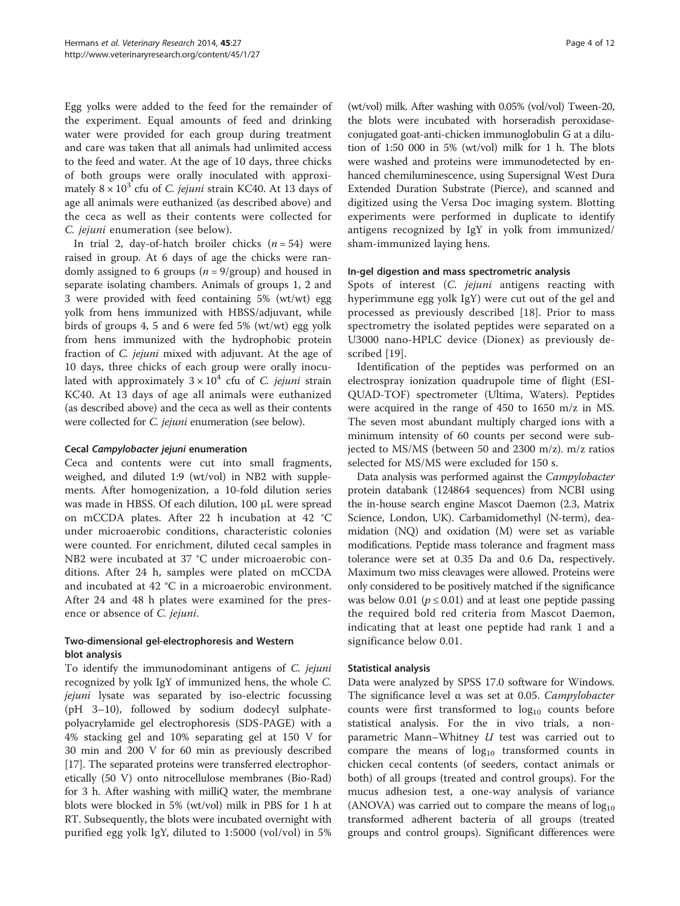Egg yolks were added to the feed for the remainder of the experiment. Equal amounts of feed and drinking water were provided for each group during treatment and care was taken that all animals had unlimited access to the feed and water. At the age of 10 days, three chicks of both groups were orally inoculated with approximately  $8 \times 10^3$  cfu of C. jejuni strain KC40. At 13 days of age all animals were euthanized (as described above) and the ceca as well as their contents were collected for C. jejuni enumeration (see below).

In trial 2, day-of-hatch broiler chicks  $(n = 54)$  were raised in group. At 6 days of age the chicks were randomly assigned to 6 groups ( $n = 9$ /group) and housed in separate isolating chambers. Animals of groups 1, 2 and 3 were provided with feed containing 5% (wt/wt) egg yolk from hens immunized with HBSS/adjuvant, while birds of groups 4, 5 and 6 were fed 5% (wt/wt) egg yolk from hens immunized with the hydrophobic protein fraction of C. jejuni mixed with adjuvant. At the age of 10 days, three chicks of each group were orally inoculated with approximately  $3 \times 10^4$  cfu of C. jejuni strain KC40. At 13 days of age all animals were euthanized (as described above) and the ceca as well as their contents were collected for C. jejuni enumeration (see below).

### Cecal Campylobacter jejuni enumeration

Ceca and contents were cut into small fragments, weighed, and diluted 1:9 (wt/vol) in NB2 with supplements. After homogenization, a 10-fold dilution series was made in HBSS. Of each dilution, 100 μL were spread on mCCDA plates. After 22 h incubation at 42 °C under microaerobic conditions, characteristic colonies were counted. For enrichment, diluted cecal samples in NB2 were incubated at 37 °C under microaerobic conditions. After 24 h, samples were plated on mCCDA and incubated at 42 °C in a microaerobic environment. After 24 and 48 h plates were examined for the presence or absence of C. jejuni.

## Two-dimensional gel-electrophoresis and Western blot analysis

To identify the immunodominant antigens of C. jejuni recognized by yolk IgY of immunized hens, the whole C. jejuni lysate was separated by iso-electric focussing (pH 3–10), followed by sodium dodecyl sulphatepolyacrylamide gel electrophoresis (SDS-PAGE) with a 4% stacking gel and 10% separating gel at 150 V for 30 min and 200 V for 60 min as previously described [[17](#page-10-0)]. The separated proteins were transferred electrophoretically (50 V) onto nitrocellulose membranes (Bio-Rad) for 3 h. After washing with milliQ water, the membrane blots were blocked in 5% (wt/vol) milk in PBS for 1 h at RT. Subsequently, the blots were incubated overnight with purified egg yolk IgY, diluted to 1:5000 (vol/vol) in 5% (wt/vol) milk. After washing with 0.05% (vol/vol) Tween-20, the blots were incubated with horseradish peroxidaseconjugated goat-anti-chicken immunoglobulin G at a dilution of 1:50 000 in 5% (wt/vol) milk for 1 h. The blots were washed and proteins were immunodetected by enhanced chemiluminescence, using Supersignal West Dura Extended Duration Substrate (Pierce), and scanned and digitized using the Versa Doc imaging system. Blotting experiments were performed in duplicate to identify antigens recognized by IgY in yolk from immunized/ sham-immunized laying hens.

#### In-gel digestion and mass spectrometric analysis

Spots of interest (C. *jejuni* antigens reacting with hyperimmune egg yolk IgY) were cut out of the gel and processed as previously described [[18\]](#page-10-0). Prior to mass spectrometry the isolated peptides were separated on a U3000 nano-HPLC device (Dionex) as previously described [[19\]](#page-10-0).

Identification of the peptides was performed on an electrospray ionization quadrupole time of flight (ESI-QUAD-TOF) spectrometer (Ultima, Waters). Peptides were acquired in the range of 450 to 1650 m/z in MS. The seven most abundant multiply charged ions with a minimum intensity of 60 counts per second were subjected to MS/MS (between 50 and 2300 m/z). m/z ratios selected for MS/MS were excluded for 150 s.

Data analysis was performed against the Campylobacter protein databank (124864 sequences) from NCBI using the in-house search engine Mascot Daemon (2.3, Matrix Science, London, UK). Carbamidomethyl (N-term), deamidation (NQ) and oxidation (M) were set as variable modifications. Peptide mass tolerance and fragment mass tolerance were set at 0.35 Da and 0.6 Da, respectively. Maximum two miss cleavages were allowed. Proteins were only considered to be positively matched if the significance was below 0.01 ( $p \le 0.01$ ) and at least one peptide passing the required bold red criteria from Mascot Daemon, indicating that at least one peptide had rank 1 and a significance below 0.01.

#### Statistical analysis

Data were analyzed by SPSS 17.0 software for Windows. The significance level α was set at 0.05. Campylobacter counts were first transformed to  $log_{10}$  counts before statistical analysis. For the in vivo trials, a nonparametric Mann-Whitney  $U$  test was carried out to compare the means of  $log_{10}$  transformed counts in chicken cecal contents (of seeders, contact animals or both) of all groups (treated and control groups). For the mucus adhesion test, a one-way analysis of variance (ANOVA) was carried out to compare the means of  $log_{10}$ transformed adherent bacteria of all groups (treated groups and control groups). Significant differences were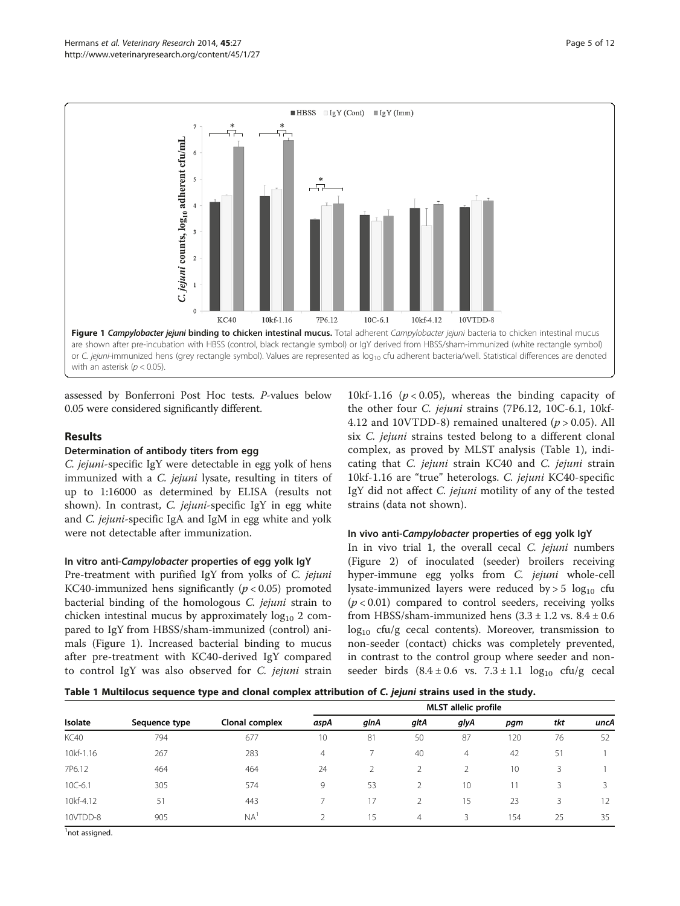

assessed by Bonferroni Post Hoc tests. P-values below 0.05 were considered significantly different.

## Results

## Determination of antibody titers from egg

C. jejuni-specific IgY were detectable in egg yolk of hens immunized with a *C. jejuni* lysate, resulting in titers of up to 1:16000 as determined by ELISA (results not shown). In contrast, C. jejuni-specific IgY in egg white and C. jejuni-specific IgA and IgM in egg white and yolk were not detectable after immunization.

#### In vitro anti-Campylobacter properties of egg yolk IgY

Pre-treatment with purified IgY from yolks of C. jejuni KC40-immunized hens significantly ( $p < 0.05$ ) promoted bacterial binding of the homologous C. jejuni strain to chicken intestinal mucus by approximately  $log_{10} 2$  compared to IgY from HBSS/sham-immunized (control) animals (Figure 1). Increased bacterial binding to mucus after pre-treatment with KC40-derived IgY compared to control IgY was also observed for C. jejuni strain

10kf-1.16 ( $p < 0.05$ ), whereas the binding capacity of the other four C. jejuni strains (7P6.12, 10C-6.1, 10kf-4.12 and 10VTDD-8) remained unaltered ( $p > 0.05$ ). All six C. jejuni strains tested belong to a different clonal complex, as proved by MLST analysis (Table 1), indicating that C. jejuni strain KC40 and C. jejuni strain 10kf-1.16 are "true" heterologs. C. jejuni KC40-specific IgY did not affect C. jejuni motility of any of the tested strains (data not shown).

#### In vivo anti-Campylobacter properties of egg yolk IgY

In in vivo trial 1, the overall cecal C. jejuni numbers (Figure [2](#page-5-0)) of inoculated (seeder) broilers receiving hyper-immune egg yolks from C. jejuni whole-cell lysate-immunized layers were reduced by  $> 5 \log_{10}$  cfu  $(p < 0.01)$  compared to control seeders, receiving yolks from HBSS/sham-immunized hens  $(3.3 \pm 1.2 \text{ vs. } 8.4 \pm 0.6$  $log_{10}$  cfu/g cecal contents). Moreover, transmission to non-seeder (contact) chicks was completely prevented, in contrast to the control group where seeder and nonseeder birds  $(8.4 \pm 0.6 \text{ vs. } 7.3 \pm 1.1 \text{ log}_{10} \text{ cfu/g } \text{ cecal})$ 

| Table 1 Multilocus sequence type and clonal complex attribution of C. jejuni strains used in the study. |  |  |
|---------------------------------------------------------------------------------------------------------|--|--|
|---------------------------------------------------------------------------------------------------------|--|--|

|             |               |                 | <b>MLST</b> allelic profile |      |                |                |     |     |      |
|-------------|---------------|-----------------|-----------------------------|------|----------------|----------------|-----|-----|------|
| Isolate     | Sequence type | Clonal complex  | aspA                        | glnA | gltA           | glyA           | pgm | tkt | uncA |
| <b>KC40</b> | 794           | 677             | 10                          | 81   | 50             | 87             | 120 | 76  | 52   |
| 10kf-1.16   | 267           | 283             | 4                           |      | 40             | $\overline{4}$ | 42  | 51  |      |
| 7P6.12      | 464           | 464             | 24                          |      | 2              |                | 10  | 3   |      |
| $10C - 6.1$ | 305           | 574             | 9                           | 53   |                | 10             |     | 3   | 3    |
| 10kf-4.12   | 51            | 443             |                             | 17   |                | 15             | 23  |     | 12   |
| 10VTDD-8    | 905           | NA <sup>1</sup> |                             | 15   | $\overline{4}$ | 3              | 154 | 25  | 35   |

<sup>1</sup>not assigned.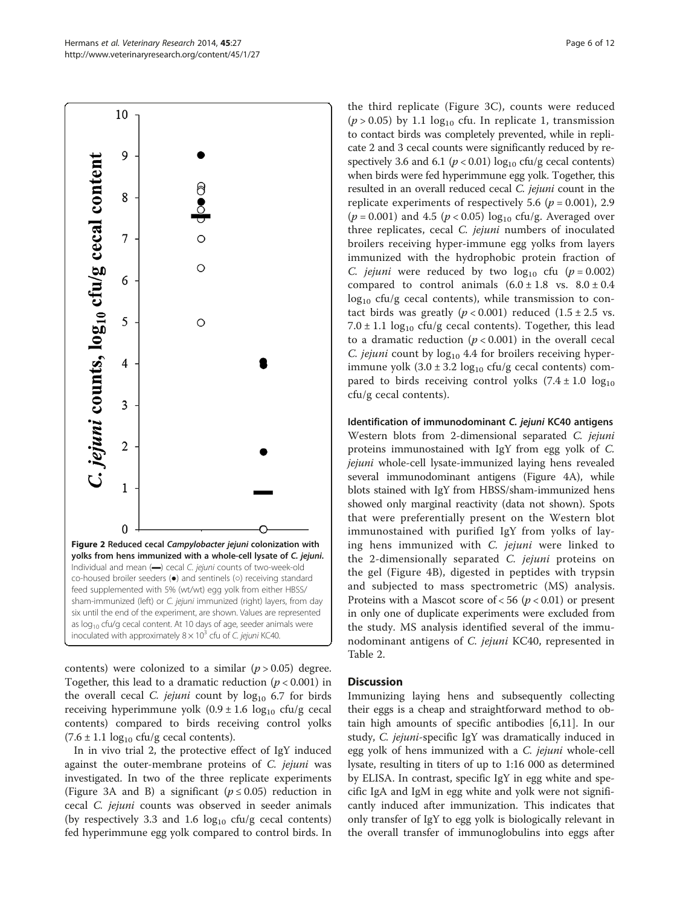contents) were colonized to a similar  $(p > 0.05)$  degree. Together, this lead to a dramatic reduction ( $p < 0.001$ ) in the overall cecal *C. jejuni* count by  $log_{10}$  6.7 for birds receiving hyperimmune yolk  $(0.9 \pm 1.6 \text{ log}_{10} \text{ cfta/g} \text{ cecal})$ contents) compared to birds receiving control yolks  $(7.6 \pm 1.1 \text{ log}_{10} \text{ cftyg} \text{ cecal contents}).$ 

In in vivo trial 2, the protective effect of IgY induced against the outer-membrane proteins of C. jejuni was investigated. In two of the three replicate experiments (Figure [3](#page-6-0)A and B) a significant ( $p \le 0.05$ ) reduction in cecal C. jejuni counts was observed in seeder animals (by respectively 3.3 and 1.6  $log_{10}$  cfu/g cecal contents) fed hyperimmune egg yolk compared to control birds. In

the third replicate (Figure [3C](#page-6-0)), counts were reduced  $(p > 0.05)$  by 1.1 log<sub>10</sub> cfu. In replicate 1, transmission to contact birds was completely prevented, while in replicate 2 and 3 cecal counts were significantly reduced by respectively 3.6 and 6.1 ( $p < 0.01$ ) log<sub>10</sub> cfu/g cecal contents) when birds were fed hyperimmune egg yolk. Together, this resulted in an overall reduced cecal C. jejuni count in the replicate experiments of respectively 5.6 ( $p = 0.001$ ), 2.9  $(p = 0.001)$  and 4.5  $(p < 0.05)$  log<sub>10</sub> cfu/g. Averaged over three replicates, cecal C. jejuni numbers of inoculated broilers receiving hyper-immune egg yolks from layers immunized with the hydrophobic protein fraction of C. jejuni were reduced by two  $log_{10}$  cfu (p = 0.002) compared to control animals  $(6.0 \pm 1.8 \text{ vs. } 8.0 \pm 0.4$  $log_{10}$  cfu/g cecal contents), while transmission to contact birds was greatly ( $p < 0.001$ ) reduced (1.5 ± 2.5 vs.  $7.0 \pm 1.1$  log<sub>10</sub> cfu/g cecal contents). Together, this lead to a dramatic reduction ( $p < 0.001$ ) in the overall cecal C. jejuni count by  $log_{10}$  4.4 for broilers receiving hyperimmune yolk  $(3.0 \pm 3.2 \log_{10} ctu/g \text{ cecal contents})$  compared to birds receiving control yolks  $(7.4 \pm 1.0 \text{ log}_{10})$ cfu/g cecal contents).

Identification of immunodominant C. jejuni KC40 antigens Western blots from 2-dimensional separated C. jejuni proteins immunostained with IgY from egg yolk of C. jejuni whole-cell lysate-immunized laying hens revealed several immunodominant antigens (Figure [4](#page-7-0)A), while blots stained with IgY from HBSS/sham-immunized hens showed only marginal reactivity (data not shown). Spots that were preferentially present on the Western blot immunostained with purified IgY from yolks of laying hens immunized with C. jejuni were linked to the 2-dimensionally separated C. jejuni proteins on the gel (Figure [4B](#page-7-0)), digested in peptides with trypsin and subjected to mass spectrometric (MS) analysis. Proteins with a Mascot score of  $< 56$  ( $p < 0.01$ ) or present in only one of duplicate experiments were excluded from the study. MS analysis identified several of the immunodominant antigens of C. jejuni KC40, represented in Table [2](#page-8-0).

### **Discussion**

Immunizing laying hens and subsequently collecting their eggs is a cheap and straightforward method to obtain high amounts of specific antibodies [\[6,11](#page-10-0)]. In our study, C. jejuni-specific IgY was dramatically induced in egg yolk of hens immunized with a C. *jejuni* whole-cell lysate, resulting in titers of up to 1:16 000 as determined by ELISA. In contrast, specific IgY in egg white and specific IgA and IgM in egg white and yolk were not significantly induced after immunization. This indicates that only transfer of IgY to egg yolk is biologically relevant in the overall transfer of immunoglobulins into eggs after

<span id="page-5-0"></span>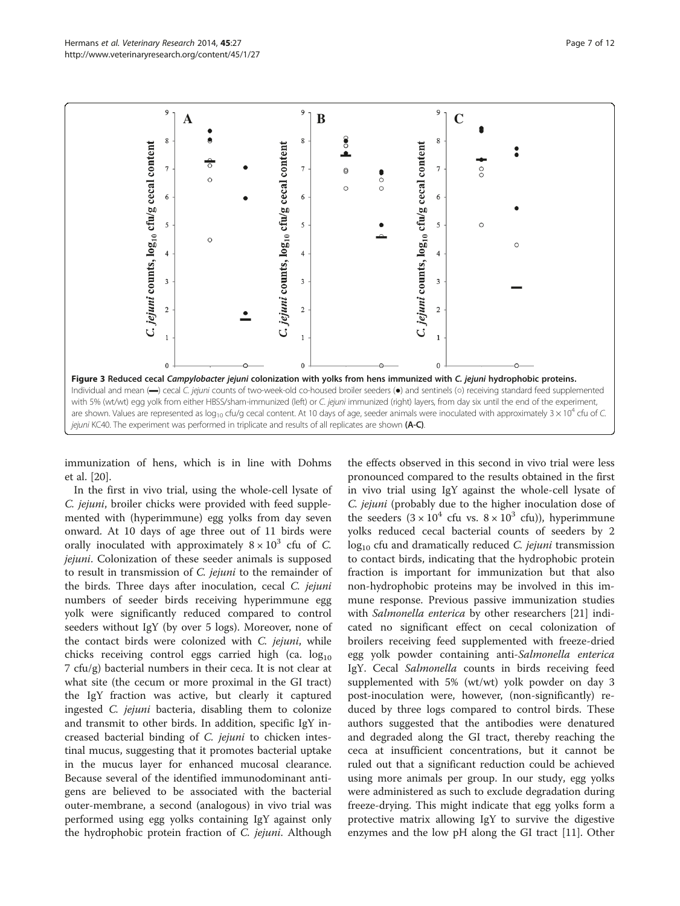<span id="page-6-0"></span>

immunization of hens, which is in line with Dohms et al. [\[20](#page-10-0)].

In the first in vivo trial, using the whole-cell lysate of C. jejuni, broiler chicks were provided with feed supplemented with (hyperimmune) egg yolks from day seven onward. At 10 days of age three out of 11 birds were orally inoculated with approximately  $8 \times 10^3$  cfu of C. jejuni. Colonization of these seeder animals is supposed to result in transmission of C. jejuni to the remainder of the birds. Three days after inoculation, cecal C. jejuni numbers of seeder birds receiving hyperimmune egg yolk were significantly reduced compared to control seeders without IgY (by over 5 logs). Moreover, none of the contact birds were colonized with C. jejuni, while chicks receiving control eggs carried high (ca.  $log_{10}$ 7 cfu/g) bacterial numbers in their ceca. It is not clear at what site (the cecum or more proximal in the GI tract) the IgY fraction was active, but clearly it captured ingested C. jejuni bacteria, disabling them to colonize and transmit to other birds. In addition, specific IgY increased bacterial binding of C. jejuni to chicken intestinal mucus, suggesting that it promotes bacterial uptake in the mucus layer for enhanced mucosal clearance. Because several of the identified immunodominant antigens are believed to be associated with the bacterial outer-membrane, a second (analogous) in vivo trial was performed using egg yolks containing IgY against only the hydrophobic protein fraction of C. jejuni. Although

the effects observed in this second in vivo trial were less pronounced compared to the results obtained in the first in vivo trial using IgY against the whole-cell lysate of C. jejuni (probably due to the higher inoculation dose of the seeders  $(3 \times 10^4 \text{ cfu vs. } 8 \times 10^3 \text{ cfu})$ , hyperimmune yolks reduced cecal bacterial counts of seeders by 2  $log<sub>10</sub>$  cfu and dramatically reduced C. jejuni transmission to contact birds, indicating that the hydrophobic protein fraction is important for immunization but that also non-hydrophobic proteins may be involved in this immune response. Previous passive immunization studies with Salmonella enterica by other researchers [[21](#page-10-0)] indicated no significant effect on cecal colonization of broilers receiving feed supplemented with freeze-dried egg yolk powder containing anti-Salmonella enterica IgY. Cecal Salmonella counts in birds receiving feed supplemented with 5% (wt/wt) yolk powder on day 3 post-inoculation were, however, (non-significantly) reduced by three logs compared to control birds. These authors suggested that the antibodies were denatured and degraded along the GI tract, thereby reaching the ceca at insufficient concentrations, but it cannot be ruled out that a significant reduction could be achieved using more animals per group. In our study, egg yolks were administered as such to exclude degradation during freeze-drying. This might indicate that egg yolks form a protective matrix allowing IgY to survive the digestive enzymes and the low pH along the GI tract [[11](#page-10-0)]. Other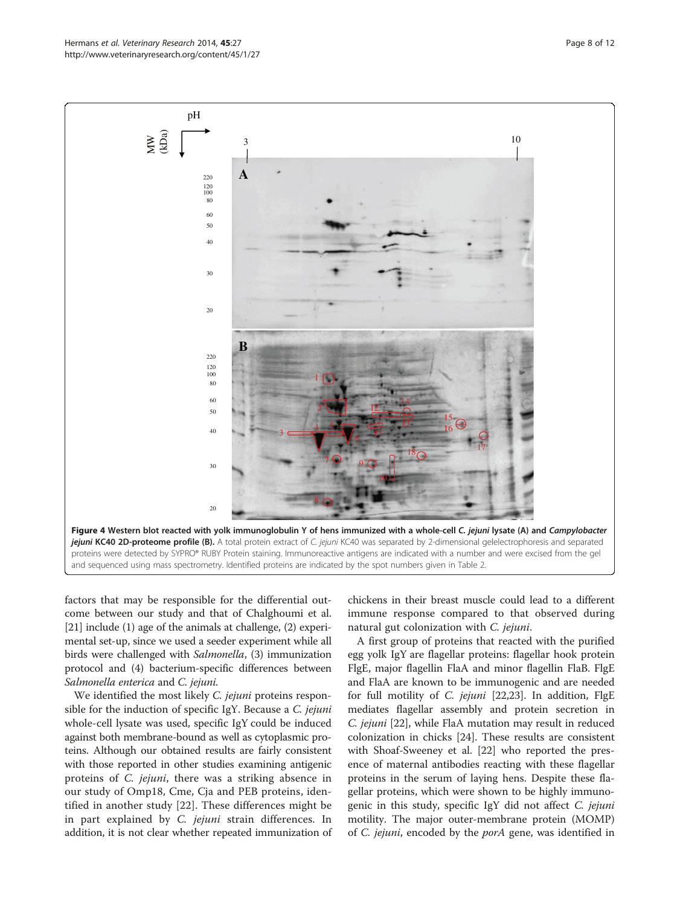factors that may be responsible for the differential outcome between our study and that of Chalghoumi et al. [[21](#page-10-0)] include (1) age of the animals at challenge, (2) experimental set-up, since we used a seeder experiment while all birds were challenged with *Salmonella*, (3) immunization protocol and (4) bacterium-specific differences between Salmonella enterica and C. jejuni.

We identified the most likely *C. jejuni* proteins responsible for the induction of specific IgY. Because a *C. jejuni* whole-cell lysate was used, specific IgY could be induced against both membrane-bound as well as cytoplasmic proteins. Although our obtained results are fairly consistent with those reported in other studies examining antigenic proteins of C. jejuni, there was a striking absence in our study of Omp18, Cme, Cja and PEB proteins, identified in another study [[22\]](#page-10-0). These differences might be in part explained by C. jejuni strain differences. In addition, it is not clear whether repeated immunization of

chickens in their breast muscle could lead to a different immune response compared to that observed during natural gut colonization with C. jejuni.

A first group of proteins that reacted with the purified egg yolk IgY are flagellar proteins: flagellar hook protein FlgE, major flagellin FlaA and minor flagellin FlaB. FlgE and FlaA are known to be immunogenic and are needed for full motility of *C. jejuni* [\[22,23\]](#page-10-0). In addition, FlgE mediates flagellar assembly and protein secretion in C. jejuni [[22\]](#page-10-0), while FlaA mutation may result in reduced colonization in chicks [\[24\]](#page-10-0). These results are consistent with Shoaf-Sweeney et al. [[22](#page-10-0)] who reported the presence of maternal antibodies reacting with these flagellar proteins in the serum of laying hens. Despite these flagellar proteins, which were shown to be highly immunogenic in this study, specific IgY did not affect C. jejuni motility. The major outer-membrane protein (MOMP) of C. jejuni, encoded by the porA gene, was identified in

Figure 4 Western blot reacted with yolk immunoglobulin Y of hens immunized with a whole-cell C. jejuni lysate (A) and Campylobacter jejuni KC40 2D-proteome profile (B). A total protein extract of C. jejuni KC40 was separated by 2-dimensional gelelectrophoresis and separated proteins were detected by SYPRO® RUBY Protein staining. Immunoreactive antigens are indicated with a number and were excised from the gel and sequenced using mass spectrometry. Identified proteins are indicated by the spot numbers given in Table [2](#page-8-0).

<span id="page-7-0"></span>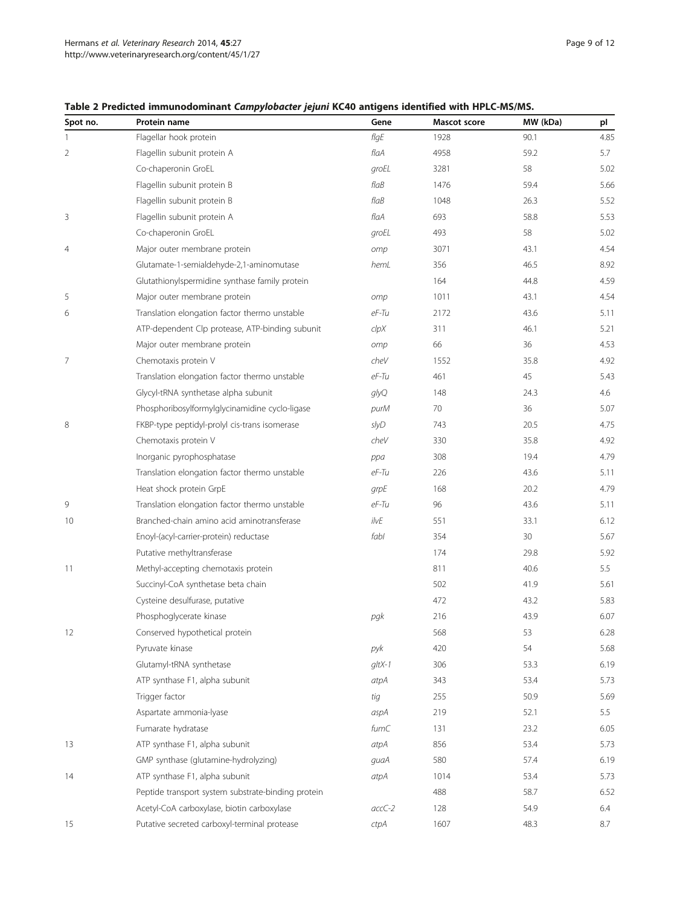## <span id="page-8-0"></span>Table 2 Predicted immunodominant Campylobacter jejuni KC40 antigens identified with HPLC-MS/MS.

| Spot no. | Protein name                                       | Gene     | Mascot score | MW (kDa) | pl   |
|----------|----------------------------------------------------|----------|--------------|----------|------|
|          | Flagellar hook protein                             | flgE     | 1928         | 90.1     | 4.85 |
| 2        | Flagellin subunit protein A                        | flaA     | 4958         | 59.2     | 5.7  |
|          | Co-chaperonin GroEL                                | groEL    | 3281         | 58       | 5.02 |
|          | Flagellin subunit protein B                        | flaB     | 1476         | 59.4     | 5.66 |
|          | Flagellin subunit protein B                        | flaB     | 1048         | 26.3     | 5.52 |
| 3        | Flagellin subunit protein A                        | flaA     | 693          | 58.8     | 5.53 |
|          | Co-chaperonin GroEL                                | groEL    | 493          | 58       | 5.02 |
| 4        | Major outer membrane protein                       | omp      | 3071         | 43.1     | 4.54 |
|          | Glutamate-1-semialdehyde-2,1-aminomutase           | hemL     | 356          | 46.5     | 8.92 |
|          | Glutathionylspermidine synthase family protein     |          | 164          | 44.8     | 4.59 |
| 5        | Major outer membrane protein                       | omp      | 1011         | 43.1     | 4.54 |
| 6        | Translation elongation factor thermo unstable      | $eF$ -Tu | 2172         | 43.6     | 5.11 |
|          | ATP-dependent Clp protease, ATP-binding subunit    | clpX     | 311          | 46.1     | 5.21 |
|          | Major outer membrane protein                       | omp      | 66           | 36       | 4.53 |
| 7        | Chemotaxis protein V                               | cheV     | 1552         | 35.8     | 4.92 |
|          | Translation elongation factor thermo unstable      | $eF$ -Tu | 461          | 45       | 5.43 |
|          | Glycyl-tRNA synthetase alpha subunit               | glyQ     | 148          | 24.3     | 4.6  |
|          | Phosphoribosylformylglycinamidine cyclo-ligase     | purM     | 70           | 36       | 5.07 |
| 8        | FKBP-type peptidyl-prolyl cis-trans isomerase      | slyD     | 743          | 20.5     | 4.75 |
|          | Chemotaxis protein V                               | cheV     | 330          | 35.8     | 4.92 |
|          | Inorganic pyrophosphatase                          | ppa      | 308          | 19.4     | 4.79 |
|          | Translation elongation factor thermo unstable      | $eF$ -Tu | 226          | 43.6     | 5.11 |
|          | Heat shock protein GrpE                            | grpE     | 168          | 20.2     | 4.79 |
| 9        | Translation elongation factor thermo unstable      | $eF$ -Tu | 96           | 43.6     | 5.11 |
| 10       | Branched-chain amino acid aminotransferase         | ilvE     | 551          | 33.1     | 6.12 |
|          | Enoyl-(acyl-carrier-protein) reductase             | fabl     | 354          | 30       | 5.67 |
|          | Putative methyltransferase                         |          | 174          | 29.8     | 5.92 |
| 11       | Methyl-accepting chemotaxis protein                |          | 811          | 40.6     | 5.5  |
|          | Succinyl-CoA synthetase beta chain                 |          | 502          | 41.9     | 5.61 |
|          | Cysteine desulfurase, putative                     |          | 472          | 43.2     | 5.83 |
|          | Phosphoglycerate kinase                            | pgk      | 216          | 43.9     | 6.07 |
| 12       | Conserved hypothetical protein                     |          | 568          | 53       | 6.28 |
|          | Pyruvate kinase                                    | pyk      | 420          | 54       | 5.68 |
|          | Glutamyl-tRNA synthetase                           | $gltX-1$ | 306          | 53.3     | 6.19 |
|          | ATP synthase F1, alpha subunit                     | atpA     | 343          | 53.4     | 5.73 |
|          | Trigger factor                                     | tig      | 255          | 50.9     | 5.69 |
|          | Aspartate ammonia-lyase                            | aspA     | 219          | 52.1     | 5.5  |
|          | Fumarate hydratase                                 | fumC     | 131          | 23.2     | 6.05 |
| 13       | ATP synthase F1, alpha subunit                     | atpA     | 856          | 53.4     | 5.73 |
|          | GMP synthase (glutamine-hydrolyzing)               | guaA     | 580          | 57.4     | 6.19 |
| 14       | ATP synthase F1, alpha subunit                     | atpA     | 1014         | 53.4     | 5.73 |
|          | Peptide transport system substrate-binding protein |          | 488          | 58.7     | 6.52 |
|          | Acetyl-CoA carboxylase, biotin carboxylase         | $accC-2$ | 128          | 54.9     | 6.4  |
| 15       | Putative secreted carboxyl-terminal protease       | ctpA     | 1607         | 48.3     | 8.7  |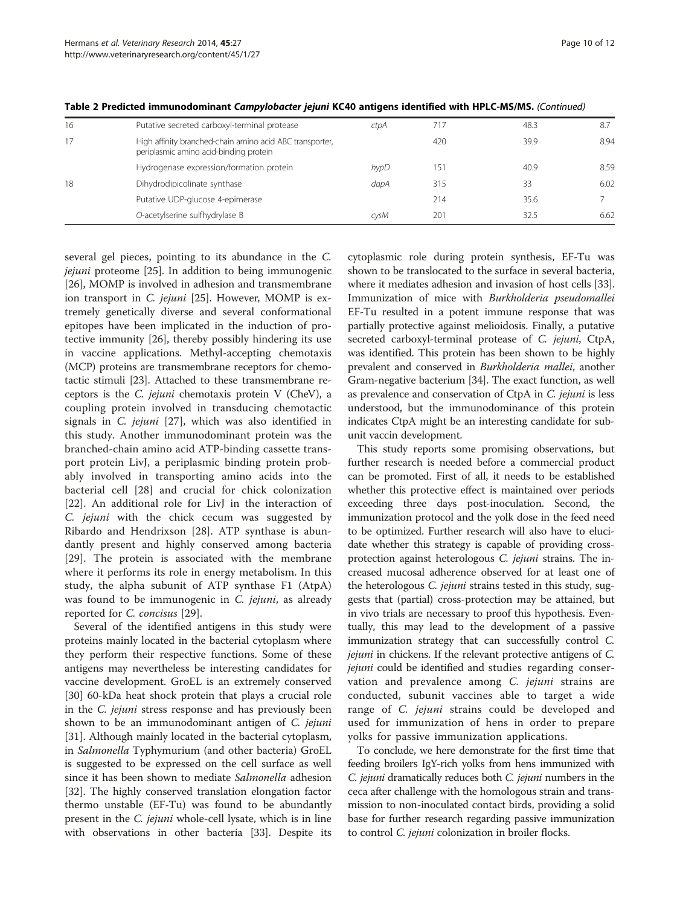| 16 | Putative secreted carboxyl-terminal protease                                                       | ctpA | 717 | 48.3 | 8.7  |
|----|----------------------------------------------------------------------------------------------------|------|-----|------|------|
| 17 | High affinity branched-chain amino acid ABC transporter,<br>periplasmic amino acid-binding protein |      | 420 | 39.9 | 8.94 |
|    | Hydrogenase expression/formation protein                                                           | hypD | 151 | 40.9 | 8.59 |
| 18 | Dihydrodipicolinate synthase                                                                       | dapA | 315 | 33   | 6.02 |
|    | Putative UDP-glucose 4-epimerase                                                                   |      | 214 | 35.6 |      |
|    | O-acetylserine sulfhydrylase B                                                                     | cysM | 201 | 32.5 | 6.62 |

Table 2 Predicted immunodominant Campylobacter jejuni KC40 antigens identified with HPLC-MS/MS. (Continued)

several gel pieces, pointing to its abundance in the C. jejuni proteome [[25\]](#page-10-0). In addition to being immunogenic [[26\]](#page-10-0), MOMP is involved in adhesion and transmembrane ion transport in C. jejuni [\[25](#page-10-0)]. However, MOMP is extremely genetically diverse and several conformational epitopes have been implicated in the induction of protective immunity [\[26\]](#page-10-0), thereby possibly hindering its use in vaccine applications. Methyl-accepting chemotaxis (MCP) proteins are transmembrane receptors for chemotactic stimuli [[23](#page-10-0)]. Attached to these transmembrane receptors is the C. jejuni chemotaxis protein V (CheV), a coupling protein involved in transducing chemotactic signals in C. jejuni [\[27](#page-10-0)], which was also identified in this study. Another immunodominant protein was the branched-chain amino acid ATP-binding cassette transport protein LivJ, a periplasmic binding protein probably involved in transporting amino acids into the bacterial cell [[28\]](#page-10-0) and crucial for chick colonization [[22\]](#page-10-0). An additional role for LivJ in the interaction of C. jejuni with the chick cecum was suggested by Ribardo and Hendrixson [\[28](#page-10-0)]. ATP synthase is abundantly present and highly conserved among bacteria [[29\]](#page-10-0). The protein is associated with the membrane where it performs its role in energy metabolism. In this study, the alpha subunit of ATP synthase F1 (AtpA) was found to be immunogenic in C. jejuni, as already reported for C. concisus [[29\]](#page-10-0).

Several of the identified antigens in this study were proteins mainly located in the bacterial cytoplasm where they perform their respective functions. Some of these antigens may nevertheless be interesting candidates for vaccine development. GroEL is an extremely conserved [[30\]](#page-10-0) 60-kDa heat shock protein that plays a crucial role in the C. jejuni stress response and has previously been shown to be an immunodominant antigen of C. *jejuni* [[31\]](#page-10-0). Although mainly located in the bacterial cytoplasm, in Salmonella Typhymurium (and other bacteria) GroEL is suggested to be expressed on the cell surface as well since it has been shown to mediate Salmonella adhesion [[32\]](#page-10-0). The highly conserved translation elongation factor thermo unstable (EF-Tu) was found to be abundantly present in the C. jejuni whole-cell lysate, which is in line with observations in other bacteria [\[33](#page-11-0)]. Despite its cytoplasmic role during protein synthesis, EF-Tu was shown to be translocated to the surface in several bacteria, where it mediates adhesion and invasion of host cells [[33](#page-11-0)]. Immunization of mice with Burkholderia pseudomallei EF-Tu resulted in a potent immune response that was partially protective against melioidosis. Finally, a putative secreted carboxyl-terminal protease of C. jejuni, CtpA, was identified. This protein has been shown to be highly prevalent and conserved in Burkholderia mallei, another Gram-negative bacterium [\[34\]](#page-11-0). The exact function, as well as prevalence and conservation of CtpA in C. *jejuni* is less understood, but the immunodominance of this protein indicates CtpA might be an interesting candidate for subunit vaccin development.

This study reports some promising observations, but further research is needed before a commercial product can be promoted. First of all, it needs to be established whether this protective effect is maintained over periods exceeding three days post-inoculation. Second, the immunization protocol and the yolk dose in the feed need to be optimized. Further research will also have to elucidate whether this strategy is capable of providing crossprotection against heterologous C. jejuni strains. The increased mucosal adherence observed for at least one of the heterologous C. jejuni strains tested in this study, suggests that (partial) cross-protection may be attained, but in vivo trials are necessary to proof this hypothesis. Eventually, this may lead to the development of a passive immunization strategy that can successfully control C. jejuni in chickens. If the relevant protective antigens of C. jejuni could be identified and studies regarding conservation and prevalence among C. jejuni strains are conducted, subunit vaccines able to target a wide range of C. *jejuni* strains could be developed and used for immunization of hens in order to prepare yolks for passive immunization applications.

To conclude, we here demonstrate for the first time that feeding broilers IgY-rich yolks from hens immunized with C. jejuni dramatically reduces both C. jejuni numbers in the ceca after challenge with the homologous strain and transmission to non-inoculated contact birds, providing a solid base for further research regarding passive immunization to control C. jejuni colonization in broiler flocks.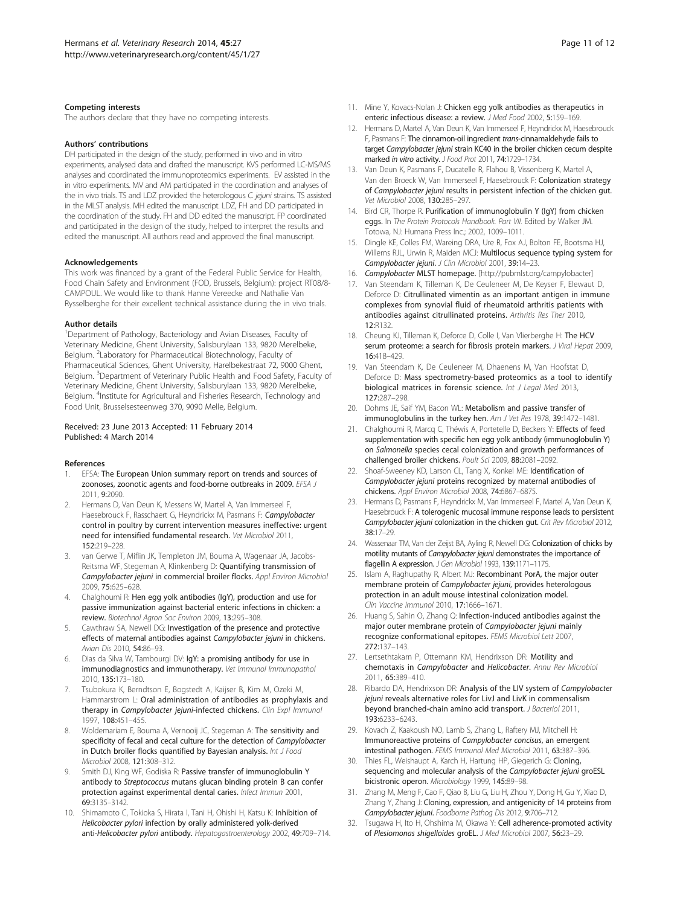#### <span id="page-10-0"></span>Competing interests

The authors declare that they have no competing interests.

#### Authors' contributions

DH participated in the design of the study, performed in vivo and in vitro experiments, analysed data and drafted the manuscript. KVS performed LC-MS/MS analyses and coordinated the immunoproteomics experiments. EV assisted in the in vitro experiments. MV and AM participated in the coordination and analyses of the in vivo trials. TS and LDZ provided the heterologous C. jejuni strains. TS assisted in the MLST analysis. MH edited the manuscript. LDZ, FH and DD participated in the coordination of the study. FH and DD edited the manuscript. FP coordinated and participated in the design of the study, helped to interpret the results and edited the manuscript. All authors read and approved the final manuscript.

#### Acknowledgements

This work was financed by a grant of the Federal Public Service for Health, Food Chain Safety and Environment (FOD, Brussels, Belgium): project RT08/8- CAMPOUL. We would like to thank Hanne Vereecke and Nathalie Van Rysselberghe for their excellent technical assistance during the in vivo trials.

#### Author details

<sup>1</sup>Department of Pathology, Bacteriology and Avian Diseases, Faculty of Veterinary Medicine, Ghent University, Salisburylaan 133, 9820 Merelbeke, Belgium. <sup>2</sup> Laboratory for Pharmaceutical Biotechnology, Faculty of Pharmaceutical Sciences, Ghent University, Harelbekestraat 72, 9000 Ghent, Belgium. <sup>3</sup>Department of Veterinary Public Health and Food Safety, Faculty of Veterinary Medicine, Ghent University, Salisburylaan 133, 9820 Merelbeke, Belgium. <sup>4</sup>Institute for Agricultural and Fisheries Research, Technology and Food Unit, Brusselsesteenweg 370, 9090 Melle, Belgium.

#### Received: 23 June 2013 Accepted: 11 February 2014 Published: 4 March 2014

#### References

- 1. EFSA: The European Union summary report on trends and sources of zoonoses, zoonotic agents and food-borne outbreaks in 2009. EFSA J 2011, 9:2090.
- 2. Hermans D, Van Deun K, Messens W, Martel A, Van Immerseel F, Haesebrouck F, Rasschaert G, Heyndrickx M, Pasmans F: Campylobacter control in poultry by current intervention measures ineffective: urgent need for intensified fundamental research. Vet Microbiol 2011, 152:219–228.
- van Gerwe T, Miflin JK, Templeton JM, Bouma A, Wagenaar JA, Jacobs-Reitsma WF, Stegeman A, Klinkenberg D: Quantifying transmission of Campylobacter jejuni in commercial broiler flocks. Appl Environ Microbiol 2009, 75:625–628.
- 4. Chalghoumi R: Hen egg yolk antibodies (IgY), production and use for passive immunization against bacterial enteric infections in chicken: a review. Biotechnol Agron Soc Environ 2009, 13:295–308.
- 5. Cawthraw SA, Newell DG: Investigation of the presence and protective effects of maternal antibodies against Campylobacter jejuni in chickens. Avian Dis 2010, 54:86–93.
- Dias da Silva W, Tambourgi DV: IgY: a promising antibody for use in immunodiagnostics and immunotherapy. Vet Immunol Immunopathol 2010, 135:173–180.
- 7. Tsubokura K, Berndtson E, Bogstedt A, Kaijser B, Kim M, Ozeki M, Hammarstrom L: Oral administration of antibodies as prophylaxis and therapy in Campylobacter jejuni-infected chickens. Clin Expl Immunol 1997, 108:451–455.
- Woldemariam E, Bouma A, Vernooij JC, Stegeman A: The sensitivity and specificity of fecal and cecal culture for the detection of Campylobacter in Dutch broiler flocks quantified by Bayesian analysis. Int J Food Microbiol 2008, 121:308–312.
- Smith DJ, King WF, Godiska R: Passive transfer of immunoglobulin Y antibody to Streptococcus mutans glucan binding protein B can confer protection against experimental dental caries. Infect Immun 2001, 69:3135–3142.
- 10. Shimamoto C, Tokioka S, Hirata I, Tani H, Ohishi H, Katsu K: Inhibition of Helicobacter pylori infection by orally administered yolk-derived anti-Helicobacter pylori antibody. Hepatogastroenterology 2002, 49:709–714.
- 11. Mine Y, Kovacs-Nolan J: Chicken egg yolk antibodies as therapeutics in enteric infectious disease: a review. J Med Food 2002, 5:159-169.
- 12. Hermans D, Martel A, Van Deun K, Van Immerseel F, Heyndrickx M, Haesebrouck F, Pasmans F: The cinnamon-oil ingredient trans-cinnamaldehyde fails to target Campylobacter jejuni strain KC40 in the broiler chicken cecum despite marked in vitro activity. J Food Prot 2011, 74:1729–1734.
- 13. Van Deun K, Pasmans F, Ducatelle R, Flahou B, Vissenberg K, Martel A, Van den Broeck W, Van Immerseel F, Haesebrouck F: Colonization strategy of Campylobacter jejuni results in persistent infection of the chicken gut. Vet Microbiol 2008, 130:285–297.
- 14. Bird CR, Thorpe R. Purification of immunoglobulin Y (IgY) from chicken eggs. In The Protein Protocols Handbook. Part VII. Edited by Walker JM. Totowa, NJ: Humana Press Inc.; 2002, 1009–1011.
- 15. Dingle KE, Colles FM, Wareing DRA, Ure R, Fox AJ, Bolton FE, Bootsma HJ, Willems RJL, Urwin R, Maiden MCJ: Multilocus sequence typing system for Campylobacter jejuni. J Clin Microbiol 2001, 39:14–23.
- 16. Campylobacter MLST homepage. [\[http://pubmlst.org/campylobacter](http://pubmlst.org/campylobacter)]
- 17. Van Steendam K, Tilleman K, De Ceuleneer M, De Keyser F, Elewaut D, Deforce D: Citrullinated vimentin as an important antigen in immune complexes from synovial fluid of rheumatoid arthritis patients with antibodies against citrullinated proteins. Arthritis Res Ther 2010, 12:R132.
- 18. Cheung KJ, Tilleman K, Deforce D, Colle I, Van Vlierberghe H: The HCV serum proteome: a search for fibrosis protein markers. J Viral Hepat 2009, 16:418–429.
- 19. Van Steendam K, De Ceuleneer M, Dhaenens M, Van Hoofstat D, Deforce D: Mass spectrometry-based proteomics as a tool to identify biological matrices in forensic science. Int J Legal Med 2013, 127:287–298.
- 20. Dohms JE, Saif YM, Bacon WL: Metabolism and passive transfer of immunoglobulins in the turkey hen. Am J Vet Res 1978, 39:1472–1481.
- 21. Chalghoumi R, Marcq C, Théwis A, Portetelle D, Beckers Y: Effects of feed supplementation with specific hen egg yolk antibody (immunoglobulin Y) on Salmonella species cecal colonization and growth performances of challenged broiler chickens. Poult Sci 2009, 88:2081–2092.
- 22. Shoaf-Sweeney KD, Larson CL, Tang X, Konkel ME: Identification of Campylobacter jejuni proteins recognized by maternal antibodies of chickens. Appl Environ Microbiol 2008, 74:6867–6875.
- 23. Hermans D, Pasmans F, Heyndrickx M, Van Immerseel F, Martel A, Van Deun K, Haesebrouck F: A tolerogenic mucosal immune response leads to persistent Campylobacter jejuni colonization in the chicken gut. Crit Rev Microbiol 2012, 38:17–29.
- 24. Wassenaar TM, Van der Zeijst BA, Ayling R, Newell DG: Colonization of chicks by motility mutants of Campylobacter jejuni demonstrates the importance of flagellin A expression. J Gen Microbiol 1993, 139:1171-1175.
- 25. Islam A, Raghupathy R, Albert MJ: Recombinant PorA, the major outer membrane protein of Campylobacter jejuni, provides heterologous protection in an adult mouse intestinal colonization model. Clin Vaccine Immunol 2010, 17:1666–1671.
- 26. Huang S, Sahin O, Zhang Q: Infection-induced antibodies against the major outer membrane protein of Campylobacter jejuni mainly recognize conformational epitopes. FEMS Microbiol Lett 2007, 272:137–143.
- 27. Lertsethtakarn P, Ottemann KM, Hendrixson DR: Motility and chemotaxis in Campylobacter and Helicobacter. Annu Rev Microbiol 2011, 65:389–410.
- 28. Ribardo DA, Hendrixson DR: Analysis of the LIV system of Campylobacter jejuni reveals alternative roles for LivJ and LivK in commensalism beyond branched-chain amino acid transport. J Bacteriol 2011, 193:6233–6243.
- 29. Kovach Z, Kaakoush NO, Lamb S, Zhang L, Raftery MJ, Mitchell H: Immunoreactive proteins of Campylobacter concisus, an emergent intestinal pathogen. FEMS Immunol Med Microbiol 2011, 63:387–396.
- Thies FL, Weishaupt A, Karch H, Hartung HP, Giegerich G: Cloning, sequencing and molecular analysis of the Campylobacter jejuni groESL bicistronic operon. Microbiology 1999, 145:89–98.
- 31. Zhang M, Meng F, Cao F, Qiao B, Liu G, Liu H, Zhou Y, Dong H, Gu Y, Xiao D, Zhang Y, Zhang J: Cloning, expression, and antigenicity of 14 proteins from Campylobacter jejuni. Foodborne Pathog Dis 2012, 9:706–712.
- 32. Tsugawa H, Ito H, Ohshima M, Okawa Y: Cell adherence-promoted activity of Plesiomonas shigelloides groEL. J Med Microbiol 2007, 56:23–29.